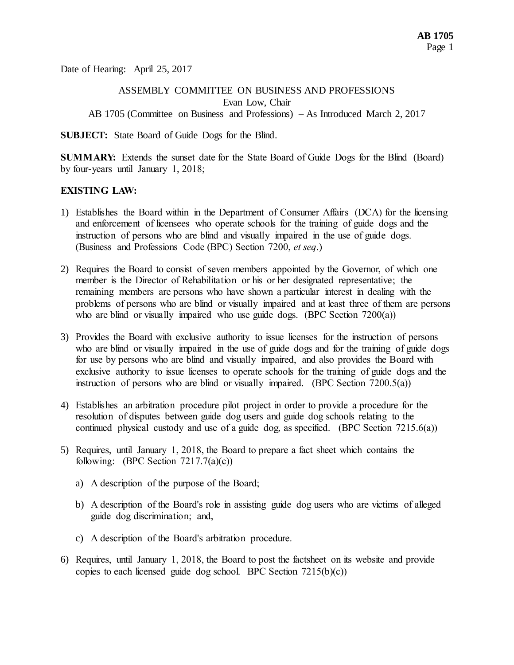Date of Hearing: April 25, 2017

# ASSEMBLY COMMITTEE ON BUSINESS AND PROFESSIONS Evan Low, Chair AB 1705 (Committee on Business and Professions) – As Introduced March 2, 2017

**SUBJECT:** State Board of Guide Dogs for the Blind.

**SUMMARY:** Extends the sunset date for the State Board of Guide Dogs for the Blind (Board) by four-years until January 1, 2018;

# **EXISTING LAW:**

- 1) Establishes the Board within in the Department of Consumer Affairs (DCA) for the licensing and enforcement of licensees who operate schools for the training of guide dogs and the instruction of persons who are blind and visually impaired in the use of guide dogs. (Business and Professions Code (BPC) Section 7200, *et seq*.)
- 2) Requires the Board to consist of seven members appointed by the Governor, of which one member is the Director of Rehabilitation or his or her designated representative; the remaining members are persons who have shown a particular interest in dealing with the problems of persons who are blind or visually impaired and at least three of them are persons who are blind or visually impaired who use guide dogs. (BPC Section 7200(a))
- 3) Provides the Board with exclusive authority to issue licenses for the instruction of persons who are blind or visually impaired in the use of guide dogs and for the training of guide dogs for use by persons who are blind and visually impaired, and also provides the Board with exclusive authority to issue licenses to operate schools for the training of guide dogs and the instruction of persons who are blind or visually impaired. (BPC Section 7200.5(a))
- 4) Establishes an arbitration procedure pilot project in order to provide a procedure for the resolution of disputes between guide dog users and guide dog schools relating to the continued physical custody and use of a guide dog, as specified. (BPC Section 7215.6(a))
- 5) Requires, until January 1, 2018, the Board to prepare a fact sheet which contains the following: (BPC Section  $7217.7(a)(c)$ )
	- a) A description of the purpose of the Board;
	- b) A description of the Board's role in assisting guide dog users who are victims of alleged guide dog discrimination; and,
	- c) A description of the Board's arbitration procedure.
- 6) Requires, until January 1, 2018, the Board to post the factsheet on its website and provide copies to each licensed guide dog school. BPC Section  $7215(b)(c)$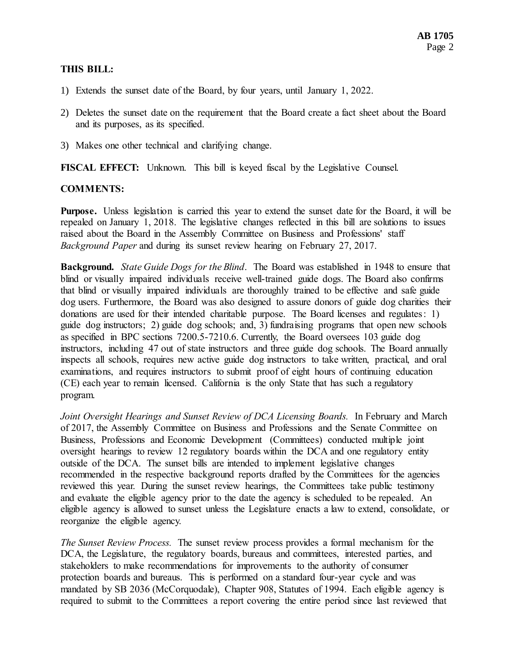## **THIS BILL:**

- 1) Extends the sunset date of the Board, by four years, until January 1, 2022.
- 2) Deletes the sunset date on the requirement that the Board create a fact sheet about the Board and its purposes, as its specified.
- 3) Makes one other technical and clarifying change.

**FISCAL EFFECT:** Unknown. This bill is keyed fiscal by the Legislative Counsel.

### **COMMENTS:**

**Purpose.** Unless legislation is carried this year to extend the sunset date for the Board, it will be repealed on January 1, 2018. The legislative changes reflected in this bill are solutions to issues raised about the Board in the Assembly Committee on Business and Professions' staff *Background Paper* and during its sunset review hearing on February 27, 2017.

**Background.** *State Guide Dogs for the Blind*. The Board was established in 1948 to ensure that blind or visually impaired individuals receive well-trained guide dogs. The Board also confirms that blind or visually impaired individuals are thoroughly trained to be effective and safe guide dog users. Furthermore, the Board was also designed to assure donors of guide dog charities their donations are used for their intended charitable purpose. The Board licenses and regulates: 1) guide dog instructors; 2) guide dog schools; and, 3) fundraising programs that open new schools as specified in BPC sections 7200.5-7210.6. Currently, the Board oversees 103 guide dog instructors, including 47 out of state instructors and three guide dog schools. The Board annually inspects all schools, requires new active guide dog instructors to take written, practical, and oral examinations, and requires instructors to submit proof of eight hours of continuing education (CE) each year to remain licensed. California is the only State that has such a regulatory program.

*Joint Oversight Hearings and Sunset Review of DCA Licensing Boards.* In February and March of 2017, the Assembly Committee on Business and Professions and the Senate Committee on Business, Professions and Economic Development (Committees) conducted multiple joint oversight hearings to review 12 regulatory boards within the DCA and one regulatory entity outside of the DCA. The sunset bills are intended to implement legislative changes recommended in the respective background reports drafted by the Committees for the agencies reviewed this year. During the sunset review hearings, the Committees take public testimony and evaluate the eligible agency prior to the date the agency is scheduled to be repealed. An eligible agency is allowed to sunset unless the Legislature enacts a law to extend, consolidate, or reorganize the eligible agency.

*The Sunset Review Process.* The sunset review process provides a formal mechanism for the DCA, the Legislature, the regulatory boards, bureaus and committees, interested parties, and stakeholders to make recommendations for improvements to the authority of consumer protection boards and bureaus. This is performed on a standard four-year cycle and was mandated by SB 2036 (McCorquodale), Chapter 908, Statutes of 1994. Each eligible agency is required to submit to the Committees a report covering the entire period since last reviewed that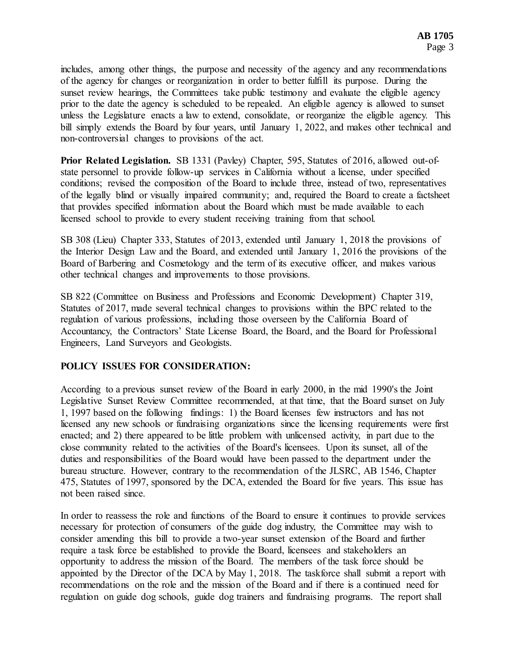includes, among other things, the purpose and necessity of the agency and any recommendations of the agency for changes or reorganization in order to better fulfill its purpose. During the sunset review hearings, the Committees take public testimony and evaluate the eligible agency prior to the date the agency is scheduled to be repealed. An eligible agency is allowed to sunset unless the Legislature enacts a law to extend, consolidate, or reorganize the eligible agency. This bill simply extends the Board by four years, until January 1, 2022, and makes other technical and non-controversial changes to provisions of the act.

**Prior Related Legislation.** SB 1331 (Pavley) Chapter, 595, Statutes of 2016, allowed out-ofstate personnel to provide follow-up services in California without a license, under specified conditions; revised the composition of the Board to include three, instead of two, representatives of the legally blind or visually impaired community; and, required the Board to create a factsheet that provides specified information about the Board which must be made available to each licensed school to provide to every student receiving training from that school.

SB 308 (Lieu) Chapter 333, Statutes of 2013, extended until January 1, 2018 the provisions of the Interior Design Law and the Board, and extended until January 1, 2016 the provisions of the Board of Barbering and Cosmetology and the term of its executive officer, and makes various other technical changes and improvements to those provisions.

SB 822 (Committee on Business and Professions and Economic Development) Chapter 319, Statutes of 2017, made several technical changes to provisions within the BPC related to the regulation of various professions, including those overseen by the California Board of Accountancy, the Contractors' State License Board, the Board, and the Board for Professional Engineers, Land Surveyors and Geologists.

# **POLICY ISSUES FOR CONSIDERATION:**

According to a previous sunset review of the Board in early 2000, in the mid 1990's the Joint Legislative Sunset Review Committee recommended, at that time, that the Board sunset on July 1, 1997 based on the following findings: 1) the Board licenses few instructors and has not licensed any new schools or fundraising organizations since the licensing requirements were first enacted; and 2) there appeared to be little problem with unlicensed activity, in part due to the close community related to the activities of the Board's licensees. Upon its sunset, all of the duties and responsibilities of the Board would have been passed to the department under the bureau structure. However, contrary to the recommendation of the JLSRC, AB 1546, Chapter 475, Statutes of 1997, sponsored by the DCA, extended the Board for five years. This issue has not been raised since.

In order to reassess the role and functions of the Board to ensure it continues to provide services necessary for protection of consumers of the guide dog industry, the Committee may wish to consider amending this bill to provide a two-year sunset extension of the Board and further require a task force be established to provide the Board, licensees and stakeholders an opportunity to address the mission of the Board. The members of the task force should be appointed by the Director of the DCA by May 1, 2018. The taskforce shall submit a report with recommendations on the role and the mission of the Board and if there is a continued need for regulation on guide dog schools, guide dog trainers and fundraising programs. The report shall